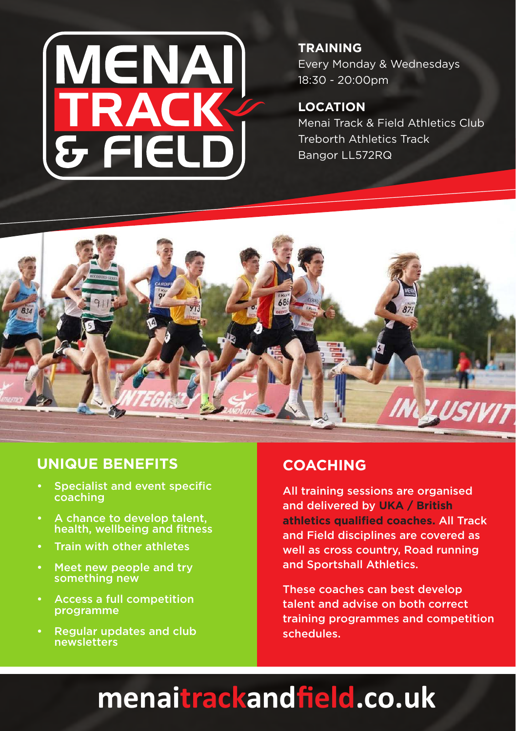

#### **TRAINING** Every Monday & Wednesdays 18:30 - 20:00pm

### **LOCATION**

Menai Track & Field Athletics Club Treborth Athletics Track Bangor LL572RQ



## **UNIQUE BENEFITS**

- Specialist and event specific coaching
- A chance to develop talent, health, wellbeing and fitness
- Train with other athletes
- Meet new people and try something new
- Access a full competition programme
- **Regular updates and club** newsletters

# **COACHING**

All training sessions are organised and delivered by **UKA / British athletics qualified coaches.** All Track and Field disciplines are covered as well as cross country, Road running and Sportshall Athletics.

These coaches can best develop talent and advise on both correct training programmes and competition schedules.

# **menaitrackandfield.co.uk**